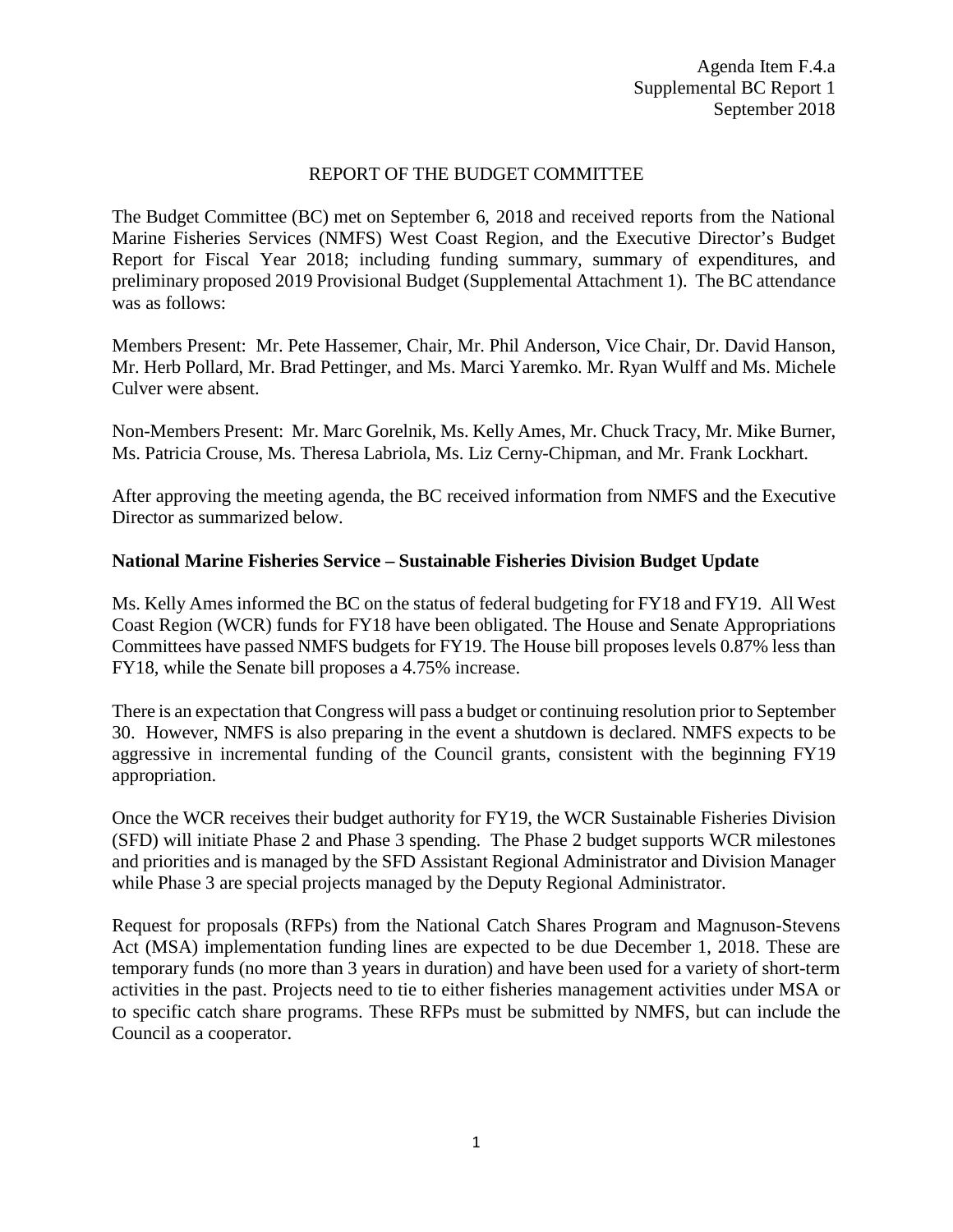# REPORT OF THE BUDGET COMMITTEE

The Budget Committee (BC) met on September 6, 2018 and received reports from the National Marine Fisheries Services (NMFS) West Coast Region, and the Executive Director's Budget Report for Fiscal Year 2018; including funding summary, summary of expenditures, and preliminary proposed 2019 Provisional Budget (Supplemental Attachment 1). The BC attendance was as follows:

Members Present: Mr. Pete Hassemer, Chair, Mr. Phil Anderson, Vice Chair, Dr. David Hanson, Mr. Herb Pollard, Mr. Brad Pettinger, and Ms. Marci Yaremko. Mr. Ryan Wulff and Ms. Michele Culver were absent.

Non-Members Present: Mr. Marc Gorelnik, Ms. Kelly Ames, Mr. Chuck Tracy, Mr. Mike Burner, Ms. Patricia Crouse, Ms. Theresa Labriola, Ms. Liz Cerny-Chipman, and Mr. Frank Lockhart.

After approving the meeting agenda, the BC received information from NMFS and the Executive Director as summarized below.

### **National Marine Fisheries Service – Sustainable Fisheries Division Budget Update**

Ms. Kelly Ames informed the BC on the status of federal budgeting for FY18 and FY19. All West Coast Region (WCR) funds for FY18 have been obligated. The House and Senate Appropriations Committees have passed NMFS budgets for FY19. The House bill proposes levels 0.87% less than FY18, while the Senate bill proposes a 4.75% increase.

There is an expectation that Congress will pass a budget or continuing resolution prior to September 30. However, NMFS is also preparing in the event a shutdown is declared. NMFS expects to be aggressive in incremental funding of the Council grants, consistent with the beginning FY19 appropriation.

Once the WCR receives their budget authority for FY19, the WCR Sustainable Fisheries Division (SFD) will initiate Phase 2 and Phase 3 spending. The Phase 2 budget supports WCR milestones and priorities and is managed by the SFD Assistant Regional Administrator and Division Manager while Phase 3 are special projects managed by the Deputy Regional Administrator.

Request for proposals (RFPs) from the National Catch Shares Program and Magnuson-Stevens Act (MSA) implementation funding lines are expected to be due December 1, 2018. These are temporary funds (no more than 3 years in duration) and have been used for a variety of short-term activities in the past. Projects need to tie to either fisheries management activities under MSA or to specific catch share programs. These RFPs must be submitted by NMFS, but can include the Council as a cooperator.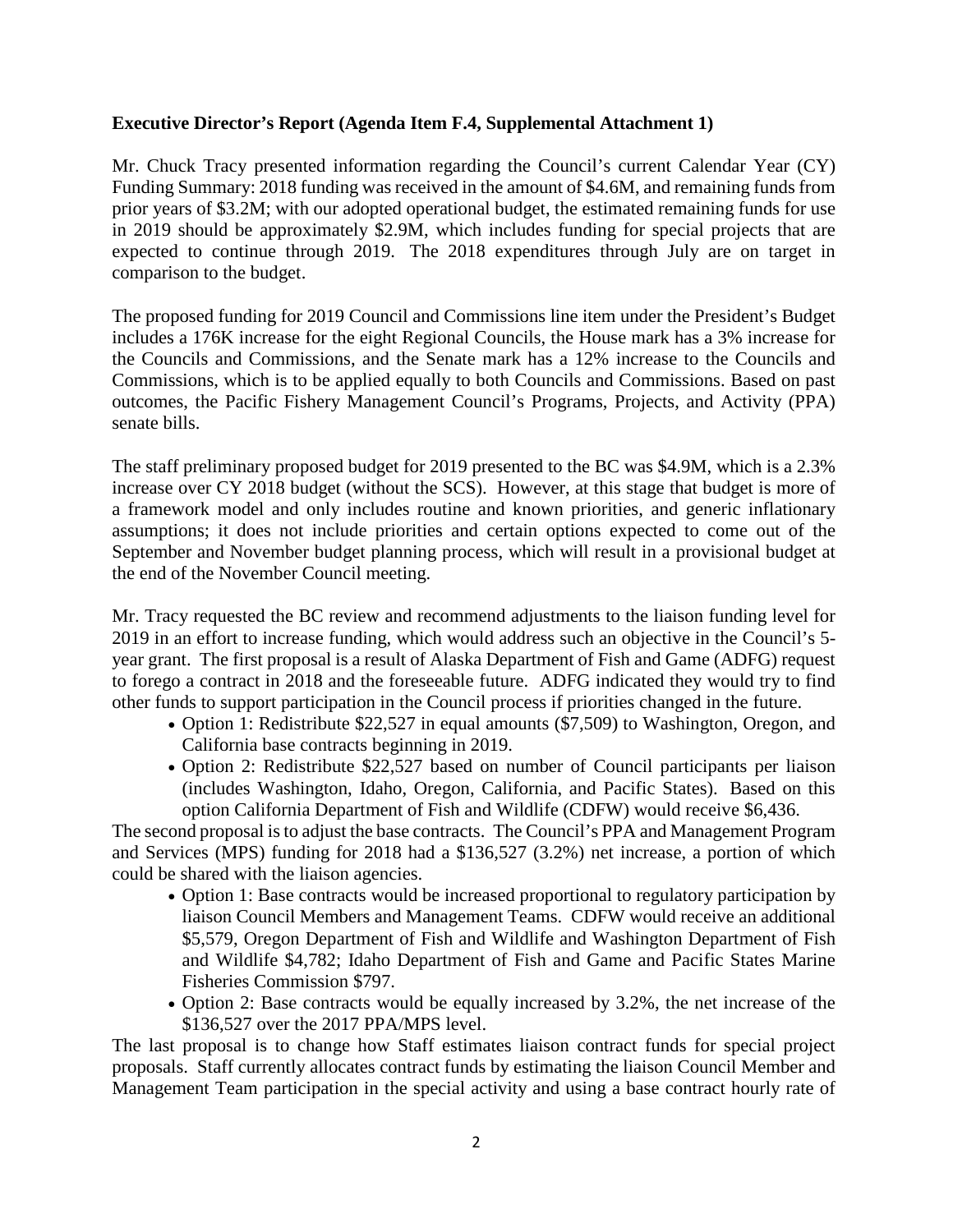# **Executive Director's Report (Agenda Item F.4, Supplemental Attachment 1)**

Mr. Chuck Tracy presented information regarding the Council's current Calendar Year (CY) Funding Summary: 2018 funding was received in the amount of \$4.6M, and remaining funds from prior years of \$3.2M; with our adopted operational budget, the estimated remaining funds for use in 2019 should be approximately \$2.9M, which includes funding for special projects that are expected to continue through 2019. The 2018 expenditures through July are on target in comparison to the budget.

The proposed funding for 2019 Council and Commissions line item under the President's Budget includes a 176K increase for the eight Regional Councils, the House mark has a 3% increase for the Councils and Commissions, and the Senate mark has a 12% increase to the Councils and Commissions, which is to be applied equally to both Councils and Commissions. Based on past outcomes, the Pacific Fishery Management Council's Programs, Projects, and Activity (PPA) senate bills.

The staff preliminary proposed budget for 2019 presented to the BC was \$4.9M, which is a 2.3% increase over CY 2018 budget (without the SCS). However, at this stage that budget is more of a framework model and only includes routine and known priorities, and generic inflationary assumptions; it does not include priorities and certain options expected to come out of the September and November budget planning process, which will result in a provisional budget at the end of the November Council meeting.

Mr. Tracy requested the BC review and recommend adjustments to the liaison funding level for 2019 in an effort to increase funding, which would address such an objective in the Council's 5 year grant. The first proposal is a result of Alaska Department of Fish and Game (ADFG) request to forego a contract in 2018 and the foreseeable future. ADFG indicated they would try to find other funds to support participation in the Council process if priorities changed in the future.

- Option 1: Redistribute \$22,527 in equal amounts (\$7,509) to Washington, Oregon, and California base contracts beginning in 2019.
- Option 2: Redistribute \$22,527 based on number of Council participants per liaison (includes Washington, Idaho, Oregon, California, and Pacific States). Based on this option California Department of Fish and Wildlife (CDFW) would receive \$6,436.

The second proposal is to adjust the base contracts. The Council's PPA and Management Program and Services (MPS) funding for 2018 had a \$136,527 (3.2%) net increase, a portion of which could be shared with the liaison agencies.

- Option 1: Base contracts would be increased proportional to regulatory participation by liaison Council Members and Management Teams. CDFW would receive an additional \$5,579, Oregon Department of Fish and Wildlife and Washington Department of Fish and Wildlife \$4,782; Idaho Department of Fish and Game and Pacific States Marine Fisheries Commission \$797.
- Option 2: Base contracts would be equally increased by 3.2%, the net increase of the \$136,527 over the 2017 PPA/MPS level.

The last proposal is to change how Staff estimates liaison contract funds for special project proposals. Staff currently allocates contract funds by estimating the liaison Council Member and Management Team participation in the special activity and using a base contract hourly rate of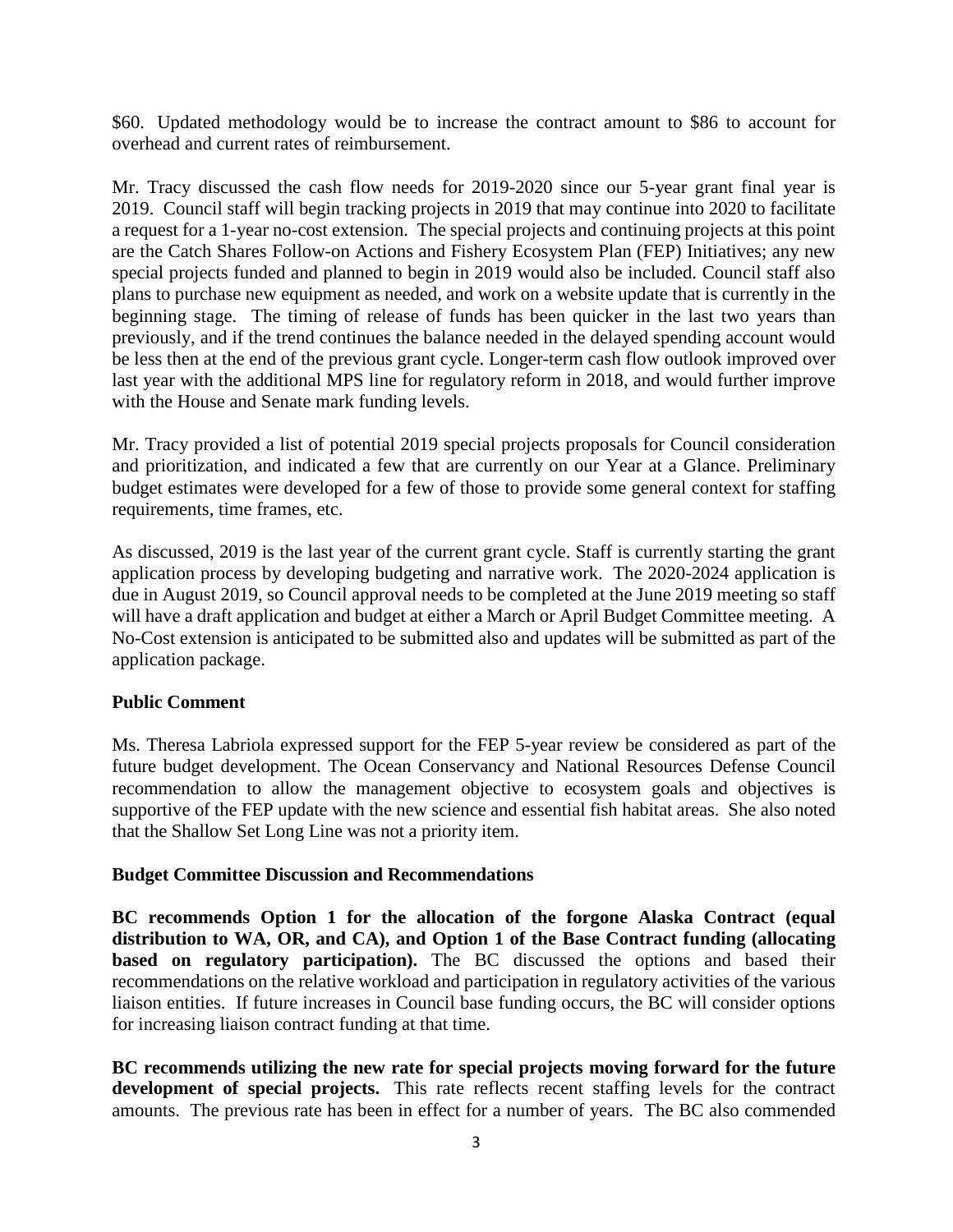\$60. Updated methodology would be to increase the contract amount to \$86 to account for overhead and current rates of reimbursement.

Mr. Tracy discussed the cash flow needs for 2019-2020 since our 5-year grant final year is 2019. Council staff will begin tracking projects in 2019 that may continue into 2020 to facilitate a request for a 1-year no-cost extension. The special projects and continuing projects at this point are the Catch Shares Follow-on Actions and Fishery Ecosystem Plan (FEP) Initiatives; any new special projects funded and planned to begin in 2019 would also be included. Council staff also plans to purchase new equipment as needed, and work on a website update that is currently in the beginning stage. The timing of release of funds has been quicker in the last two years than previously, and if the trend continues the balance needed in the delayed spending account would be less then at the end of the previous grant cycle. Longer-term cash flow outlook improved over last year with the additional MPS line for regulatory reform in 2018, and would further improve with the House and Senate mark funding levels.

Mr. Tracy provided a list of potential 2019 special projects proposals for Council consideration and prioritization, and indicated a few that are currently on our Year at a Glance. Preliminary budget estimates were developed for a few of those to provide some general context for staffing requirements, time frames, etc.

As discussed, 2019 is the last year of the current grant cycle. Staff is currently starting the grant application process by developing budgeting and narrative work. The 2020-2024 application is due in August 2019, so Council approval needs to be completed at the June 2019 meeting so staff will have a draft application and budget at either a March or April Budget Committee meeting. A No-Cost extension is anticipated to be submitted also and updates will be submitted as part of the application package.

# **Public Comment**

Ms. Theresa Labriola expressed support for the FEP 5-year review be considered as part of the future budget development. The Ocean Conservancy and National Resources Defense Council recommendation to allow the management objective to ecosystem goals and objectives is supportive of the FEP update with the new science and essential fish habitat areas. She also noted that the Shallow Set Long Line was not a priority item.

# **Budget Committee Discussion and Recommendations**

**BC recommends Option 1 for the allocation of the forgone Alaska Contract (equal distribution to WA, OR, and CA), and Option 1 of the Base Contract funding (allocating based on regulatory participation).** The BC discussed the options and based their recommendations on the relative workload and participation in regulatory activities of the various liaison entities. If future increases in Council base funding occurs, the BC will consider options for increasing liaison contract funding at that time.

**BC recommends utilizing the new rate for special projects moving forward for the future**  development of special projects. This rate reflects recent staffing levels for the contract amounts. The previous rate has been in effect for a number of years. The BC also commended